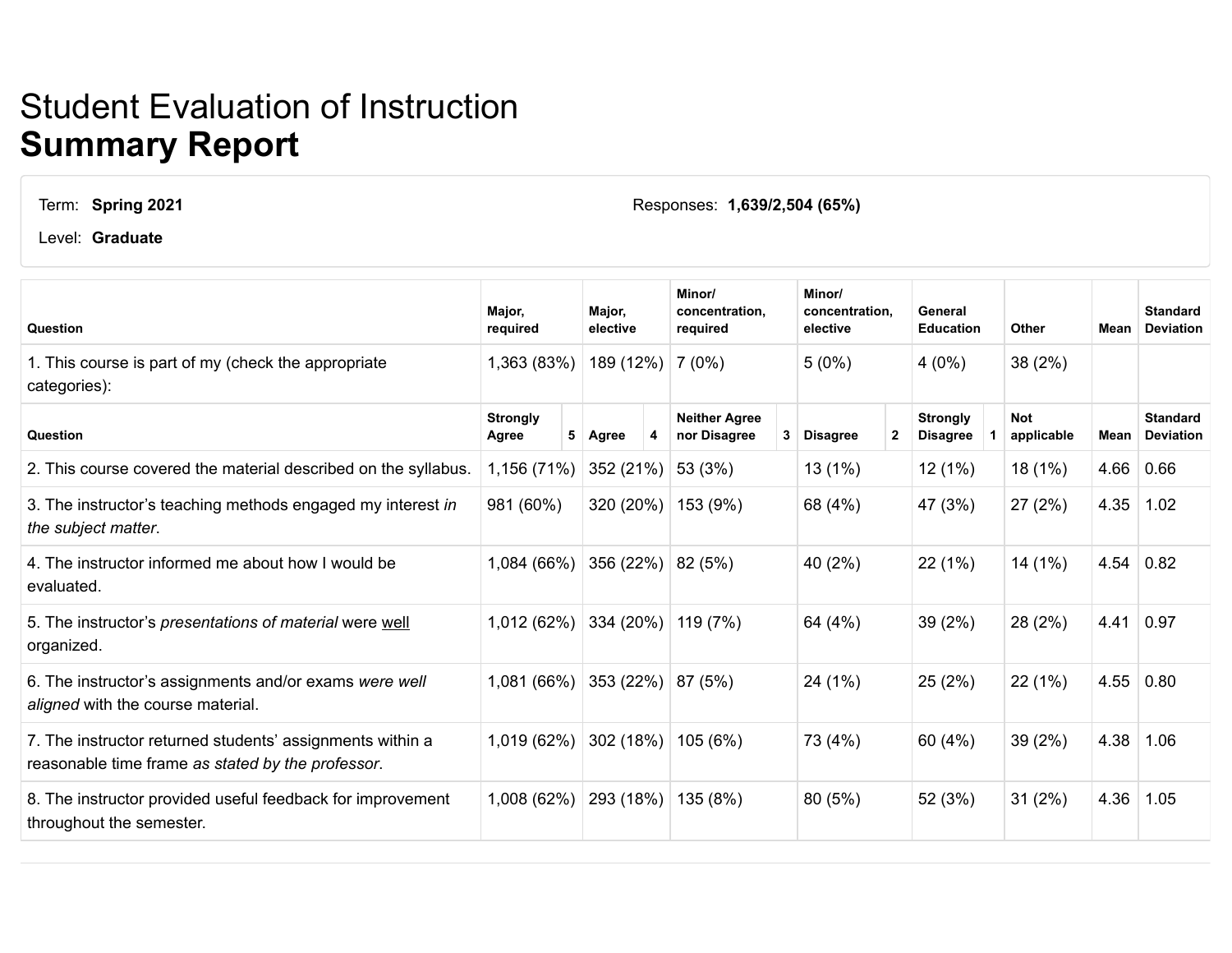## Student Evaluation of Instruction **Summary Report**

## Term: **Spring 2021**

Level: **Graduate**

**Question Major, required Major, elective Minor/ concentration, required Minor/ concentration, elective General Education Other Mean Standard Deviation** 1. This course is part of my (check the appropriate categories):  $1,363$  (83%)  $|189$  (12%)  $|7$  (0%)  $|5$  (0%)  $|4$  (0%)  $|38$  (2%) **Question Strongly Agree 5 Agree 4 Neither Agree nor Disagree 3 Disagree 2 Strongly Disagree 1 Not applicable Mean Standard Deviation** 2. This course covered the material described on the syllabus. 1,156 (71%) 352 (21%) 53 (3%) 13 (1%) 13 (1%) 18 (1%) 4.66 0.66 3. The instructor's teaching methods engaged my interest *in the subject matter*. 981 (60%) 320 (20%) 153 (9%) 68 (4%) 47 (3%) 27 (2%) 4.35 1.02 4. The instructor informed me about how I would be evaluated. 1,084 (66%) 356 (22%) 82 (5%) 40 (2%) 22 (1%) 14 (1%) 4.54 0.82 5. The instructor's *presentations of material* were well organized. 1,012 (62%) 334 (20%) 119 (7%) 64 (4%) 39 (2%) 28 (2%) 4.41 0.97 6. The instructor's assignments and/or exams *were well aligned* with the course material. 1,081 (66%) 353 (22%) 87 (5%) 24 (1%) 25 (2%) 22 (1%) 4.55 0.80 7. The instructor returned students' assignments within a reasonable time frame *as stated by the professor*. 1,019 (62%) 302 (18%) 105 (6%) 73 (4%) 60 (4%) 39 (2%) 4.38 1.06 8. The instructor provided useful feedback for improvement throughout the semester. 1,008 (62%) 293 (18%) 135 (8%) 80 (5%) 52 (3%) 31 (2%) 4.36 1.05

Responses: **1,639/2,504 (65%)**